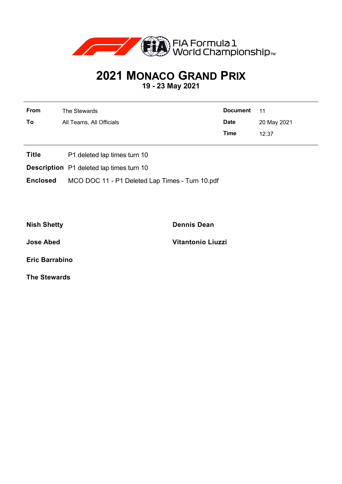

## **2021 MONACO GRAND PRIX**

**19 - 23 May 2021**

| From | The Stewards             | Document 11 |             |
|------|--------------------------|-------------|-------------|
| To   | All Teams, All Officials | <b>Date</b> | 20 May 2021 |
|      |                          | Time        | 12:37       |

- **Title** P1 deleted lap times turn 10
- **Description** P1 deleted lap times turn 10
- **Enclosed** MCO DOC 11 P1 Deleted Lap Times Turn 10.pdf

**Nish Shetty Dennis Dean**

**Jose Abed Vitantonio Liuzzi**

**Eric Barrabino**

**The Stewards**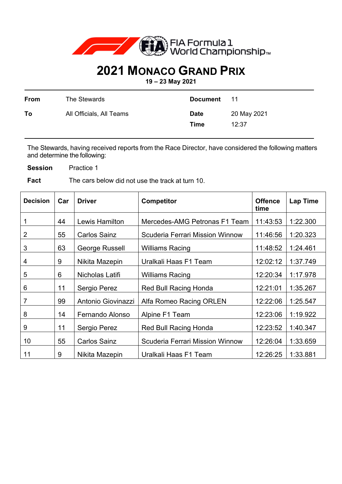

## **2021 MONACO GRAND PRIX**

**19 – 23 May 2021** 

| From | The Stewards             | <b>Document</b>            | 11                   |
|------|--------------------------|----------------------------|----------------------|
| To   | All Officials, All Teams | <b>Date</b><br><b>Time</b> | 20 May 2021<br>12:37 |

The Stewards, having received reports from the Race Director, have considered the following matters and determine the following:

**Session** Practice 1

**Fact** The cars below did not use the track at turn 10.

| <b>Decision</b> | Car | <b>Driver</b>       | <b>Competitor</b>                      | <b>Offence</b><br>time | <b>Lap Time</b> |
|-----------------|-----|---------------------|----------------------------------------|------------------------|-----------------|
|                 | 44  | Lewis Hamilton      | Mercedes-AMG Petronas F1 Team          | 11:43:53               | 1:22.300        |
| 2               | 55  | <b>Carlos Sainz</b> | <b>Scuderia Ferrari Mission Winnow</b> | 11:46:56               | 1:20.323        |
| 3               | 63  | George Russell      | <b>Williams Racing</b>                 | 11:48:52               | 1:24.461        |
| 4               | 9   | Nikita Mazepin      | Uralkali Haas F1 Team                  | 12:02:12               | 1:37.749        |
| 5               | 6   | Nicholas Latifi     | <b>Williams Racing</b>                 | 12:20:34               | 1:17.978        |
| 6               | 11  | Sergio Perez        | <b>Red Bull Racing Honda</b>           | 12:21:01               | 1:35.267        |
| 7               | 99  | Antonio Giovinazzi  | Alfa Romeo Racing ORLEN                | 12:22:06               | 1:25.547        |
| 8               | 14  | Fernando Alonso     | Alpine F1 Team                         | 12:23:06               | 1:19.922        |
| 9               | 11  | Sergio Perez        | <b>Red Bull Racing Honda</b>           | 12:23:52               | 1:40.347        |
| 10              | 55  | <b>Carlos Sainz</b> | <b>Scuderia Ferrari Mission Winnow</b> | 12:26:04               | 1:33.659        |
| 11              | 9   | Nikita Mazepin      | Uralkali Haas F1 Team                  | 12:26:25               | 1:33.881        |